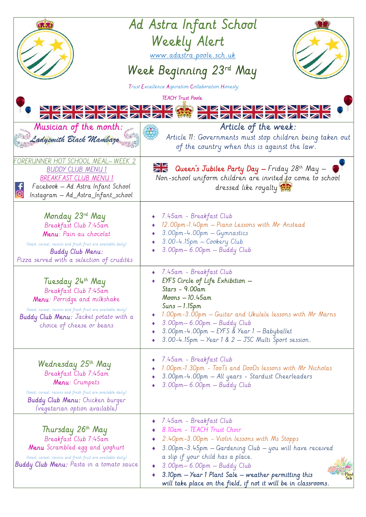|                                                                                                                                                                                                                                | Ad Astra Infant School<br>Weekly Alert<br>www.adastra.poole.sch.uk<br>Week Beginning 23rd May                                                                                                                                                                                                                                                                                     |
|--------------------------------------------------------------------------------------------------------------------------------------------------------------------------------------------------------------------------------|-----------------------------------------------------------------------------------------------------------------------------------------------------------------------------------------------------------------------------------------------------------------------------------------------------------------------------------------------------------------------------------|
| Trust Excellence Aspiration Collaboration Honesty                                                                                                                                                                              |                                                                                                                                                                                                                                                                                                                                                                                   |
| <b>TEACH Trust Poole</b><br>NZNZNZNZNZNZ<br>ZNZNZNZNZNZN<br>NZNZNZNZNZ<br>ZRZRZRZRZRZ                                                                                                                                          |                                                                                                                                                                                                                                                                                                                                                                                   |
| Musician of the month:<br>Ladysmith Black Mambazo                                                                                                                                                                              | Article of the week:<br>Article 11: Governments must stop children being taken out<br>of the country when this is against the law.                                                                                                                                                                                                                                                |
| ORERUNNER HOT SCHOOL MEAL-WEEK 2<br><b>BUDDY CLUB MENU 1</b><br><b>BREAKFAST CLUB MENU 1</b><br>Facebook - Ad Astra Infant School<br>Instagram — Ad_Astra_Infant_school                                                        | <b>NE</b> Queen's Jubilee Party Day - Friday 28th May -<br>Non-school uniform children are invited to come to school<br>dressed like royalty                                                                                                                                                                                                                                      |
| Monday 23rd May<br>Breakfast Club 7:45am<br>Menu: Pain au chocolat<br>(toast, cereal, raisins and fresh fruit are available daily)<br><b>Buddy Club Menu:</b><br>Pizza served with a selection of crudités                     | $\bullet$ 7.45am - Breakfast Club<br>12.00pm-1.40pm — Piano Lessons with Mr Anstead<br>3.00pm-4.00pm - Gymnastics<br>3.00-4.15pm - Cookery Club<br>3.00pm-6.00pm - Buddy Club                                                                                                                                                                                                     |
| Tuesday 24th May<br>Breakfast Club 7:45am<br><b>Menu</b> : Porridge and milkshake<br>(toast, cereal, raisins and fresh fruit are available daily)<br><b>Buddy Club Menu:</b> Jacket potato with a<br>choice of cheese or beans | $\bullet$ 7.45am - Breakfast Club<br>EYFS Circle of Life Exhibition -<br>Stars - 9.00am<br>Moons - 10.45am<br>$Suns - 1.15pm$<br>1.00pm-3.00pm - Guitar and Ukulele lessons with Mr Marns<br>3.00pm-6.00pm - Buddy Club<br>3.00pm-4.00pm - EYFS & Year 1 - Babyballet<br>3.00-4.15pm - Year 1 & 2 - JSC Multi Sport session.                                                      |
| Wednesday 25 <sup>th</sup> May<br>Breakfast Club 7:45am<br>Menu: Crumpets<br>(toast, cereal, raisins and fresh fruit are available daily)<br><b>Buddy Club Menu:</b> Chicken burger<br>(vegetarian option available)           | 7.45am - Breakfast Club<br>1.00pm-1.30pm - TooTs and DooDs lessons with Mr Nicholas<br>3.00pm-4.00pm - All years - Stardust Cheerleaders<br>3.00pm-6.00pm - Buddy Club                                                                                                                                                                                                            |
| Thursday 26th May<br>Breakfast Club 7:45am<br>Menu Scrambled egg and yoghurt<br>(toast, cereal, raisins and fresh fruit are available daily)<br><b>Buddy Club Menu:</b> Pasta in a tomato sauce                                | 7.45am - Breakfast Club<br>8.10am - TEACH Trust Choir<br>2.40pm-3.00pm - Violin lessons with Ms Stopps<br>3.00pm-3.45pm - Gardening Club - you will have received<br>a slip if your child has a place.<br>$\bullet$ $3.00$ pm $-$ 6.00pm $-$ Buddy Club<br>3.10pm - Year 1 Plant Sale - weather permitting this<br>will take place on the field, if not it will be in classrooms. |